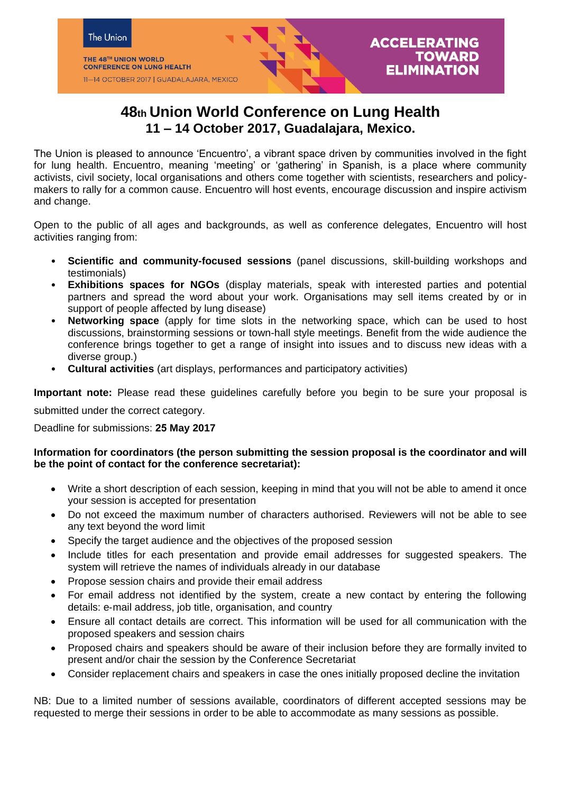

# **48th Union World Conference on Lung Health 11 – 14 October 2017, Guadalajara, Mexico.**

The Union is pleased to announce 'Encuentro', a vibrant space driven by communities involved in the fight for lung health. Encuentro, meaning 'meeting' or 'gathering' in Spanish, is a place where community activists, civil society, local organisations and others come together with scientists, researchers and policymakers to rally for a common cause. Encuentro will host events, encourage discussion and inspire activism and change.

Open to the public of all ages and backgrounds, as well as conference delegates, Encuentro will host activities ranging from:

- **Scientific and community-focused sessions** (panel discussions, skill-building workshops and testimonials)
- **Exhibitions spaces for NGOs** (display materials, speak with interested parties and potential partners and spread the word about your work. Organisations may sell items created by or in support of people affected by lung disease)
- **Networking space** (apply for time slots in the networking space, which can be used to host discussions, brainstorming sessions or town-hall style meetings. Benefit from the wide audience the conference brings together to get a range of insight into issues and to discuss new ideas with a diverse group.)
- **Cultural activities** (art displays, performances and participatory activities)

**Important note:** Please read these guidelines carefully before you begin to be sure your proposal is

submitted under the correct category.

Deadline for submissions: **25 May 2017** 

## **Information for coordinators (the person submitting the session proposal is the coordinator and will be the point of contact for the conference secretariat):**

- Write a short description of each session, keeping in mind that you will not be able to amend it once your session is accepted for presentation
- Do not exceed the maximum number of characters authorised. Reviewers will not be able to see any text beyond the word limit
- Specify the target audience and the objectives of the proposed session
- Include titles for each presentation and provide email addresses for suggested speakers. The system will retrieve the names of individuals already in our database
- Propose session chairs and provide their email address
- For email address not identified by the system, create a new contact by entering the following details: e‐mail address, job title, organisation, and country
- Ensure all contact details are correct. This information will be used for all communication with the proposed speakers and session chairs
- Proposed chairs and speakers should be aware of their inclusion before they are formally invited to present and/or chair the session by the Conference Secretariat
- Consider replacement chairs and speakers in case the ones initially proposed decline the invitation

NB: Due to a limited number of sessions available, coordinators of different accepted sessions may be requested to merge their sessions in order to be able to accommodate as many sessions as possible.